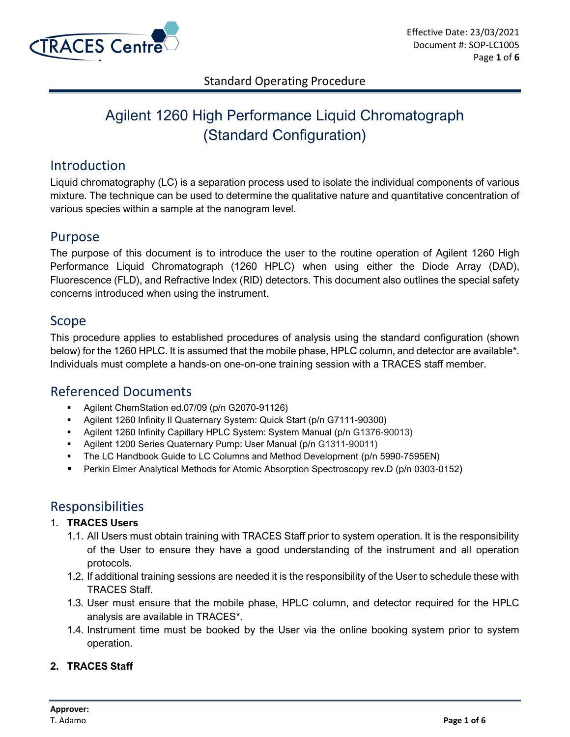

# Agilent 1260 High Performance Liquid Chromatograph (Standard Configuration)

## Introduction

Liquid chromatography (LC) is a separation process used to isolate the individual components of various mixture. The technique can be used to determine the qualitative nature and quantitative concentration of various species within a sample at the nanogram level.

### Purpose

The purpose of this document is to introduce the user to the routine operation of Agilent 1260 High Performance Liquid Chromatograph (1260 HPLC) when using either the Diode Array (DAD), Fluorescence (FLD), and Refractive Index (RID) detectors. This document also outlines the special safety concerns introduced when using the instrument.

### Scope

This procedure applies to established procedures of analysis using the standard configuration (shown below) for the 1260 HPLC. It is assumed that the mobile phase, HPLC column, and detector are available\*. Individuals must complete a hands-on one-on-one training session with a TRACES staff member.

# Referenced Documents

- Agilent ChemStation ed.07/09 (p/n G2070-91126)
- Agilent 1260 Infinity II Quaternary System: Quick Start (p/n G7111-90300)
- Agilent 1260 Infinity Capillary HPLC System: System Manual (p/n G1376-90013)
- Agilent 1200 Series Quaternary Pump: User Manual (p/n G1311-90011)
- **The LC Handbook Guide to LC Columns and Method Development (p/n 5990-7595EN)**
- Perkin Elmer Analytical Methods for Atomic Absorption Spectroscopy rev.D (p/n 0303-0152)

# Responsibilities

#### 1. **TRACES Users**

- 1.1. All Users must obtain training with TRACES Staff prior to system operation. It is the responsibility of the User to ensure they have a good understanding of the instrument and all operation protocols.
- 1.2. If additional training sessions are needed it is the responsibility of the User to schedule these with TRACES Staff.
- 1.3. User must ensure that the mobile phase, HPLC column, and detector required for the HPLC analysis are available in TRACES\*.
- 1.4. Instrument time must be booked by the User via the online booking system prior to system operation.

#### **2. TRACES Staff**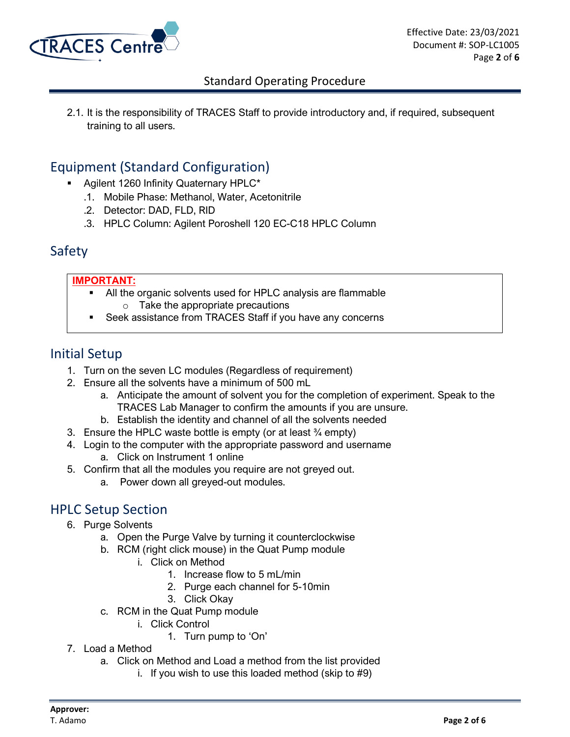

2.1. It is the responsibility of TRACES Staff to provide introductory and, if required, subsequent training to all users.

# Equipment (Standard Configuration)

- Agilent 1260 Infinity Quaternary HPLC\*
	- .1. Mobile Phase: Methanol, Water, Acetonitrile
	- .2. Detector: DAD, FLD, RID
	- .3. HPLC Column: Agilent Poroshell 120 EC-C18 HPLC Column

### Safety

#### **IMPORTANT:**

- All the organic solvents used for HPLC analysis are flammable  $\circ$  Take the appropriate precautions
- Seek assistance from TRACES Staff if you have any concerns

### Initial Setup

- 1. Turn on the seven LC modules (Regardless of requirement)
- 2. Ensure all the solvents have a minimum of 500 mL
	- a. Anticipate the amount of solvent you for the completion of experiment. Speak to the TRACES Lab Manager to confirm the amounts if you are unsure.
	- b. Establish the identity and channel of all the solvents needed
- 3. Ensure the HPLC waste bottle is empty (or at least  $\frac{3}{4}$  empty)
- 4. Login to the computer with the appropriate password and username a. Click on Instrument 1 online
- 5. Confirm that all the modules you require are not greyed out.
	- a. Power down all greyed-out modules.

# HPLC Setup Section

- 6. Purge Solvents
	- a. Open the Purge Valve by turning it counterclockwise
	- b. RCM (right click mouse) in the Quat Pump module
		- i. Click on Method
			- 1. Increase flow to 5 mL/min
			- 2. Purge each channel for 5-10min
			- 3. Click Okay
	- c. RCM in the Quat Pump module
		- i. Click Control
			- 1. Turn pump to 'On'
- 7. Load a Method
	- a. Click on Method and Load a method from the list provided
		- i. If you wish to use this loaded method (skip to #9)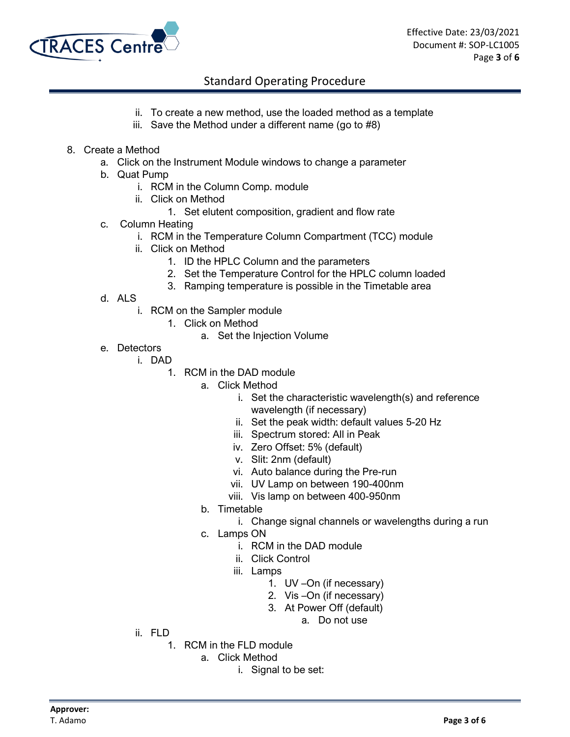

- ii. To create a new method, use the loaded method as a template
- iii. Save the Method under a different name (go to #8)
- 8. Create a Method
	- a. Click on the Instrument Module windows to change a parameter
	- b. Quat Pump
		- i. RCM in the Column Comp. module
		- ii. Click on Method
			- 1. Set elutent composition, gradient and flow rate
	- c. Column Heating
		- i. RCM in the Temperature Column Compartment (TCC) module
		- ii. Click on Method
			- 1. ID the HPLC Column and the parameters
			- 2. Set the Temperature Control for the HPLC column loaded
			- 3. Ramping temperature is possible in the Timetable area
	- d. ALS
		- i. RCM on the Sampler module
			- 1. Click on Method
				- a. Set the Injection Volume
	- e. Detectors
		- i. DAD
			- 1. RCM in the DAD module
				- a. Click Method
					- i. Set the characteristic wavelength(s) and reference wavelength (if necessary)
					- ii. Set the peak width: default values 5-20 Hz
					- iii. Spectrum stored: All in Peak
					- iv. Zero Offset: 5% (default)
					- v. Slit: 2nm (default)
					- vi. Auto balance during the Pre-run
					- vii. UV Lamp on between 190-400nm
					- viii. Vis lamp on between 400-950nm
				- b. Timetable
					- i. Change signal channels or wavelengths during a run
				- c. Lamps ON
					- i. RCM in the DAD module
					- ii. Click Control
					- iii. Lamps
						- 1. UV –On (if necessary)
						- 2. Vis –On (if necessary)
						- 3. At Power Off (default)
							- a. Do not use
- ii. FLD
	- 1. RCM in the FLD module
		- a. Click Method
			- i. Signal to be set: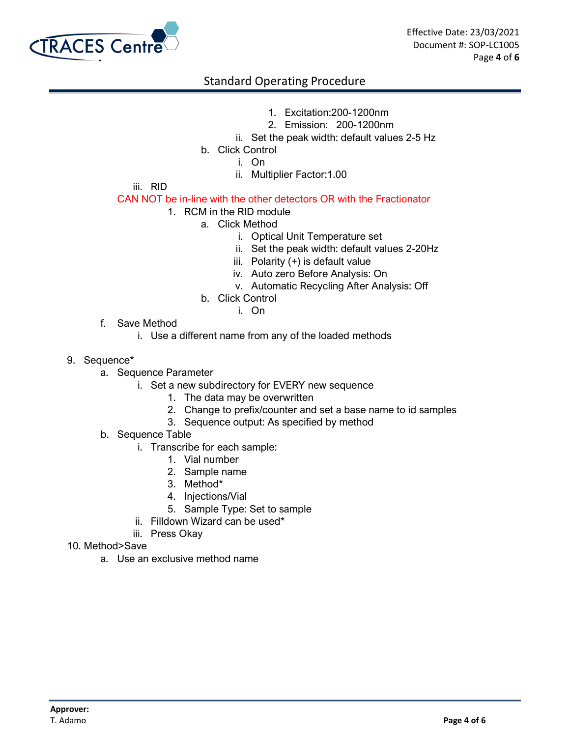

- 1. Excitation:200-1200nm
- 2. Emission: 200-1200nm
- ii. Set the peak width: default values 2-5 Hz
- b. Click Control
	- i. On
	- ii. Multiplier Factor:1.00

iii. RID

#### CAN NOT be in-line with the other detectors OR with the Fractionator

- 1. RCM in the RID module
	- a. Click Method
		- i. Optical Unit Temperature set
		- ii. Set the peak width: default values 2-20Hz
		- iii. Polarity (+) is default value
		- iv. Auto zero Before Analysis: On
		- v. Automatic Recycling After Analysis: Off
		- b. Click Control
			- i. On
- f. Save Method
	- i. Use a different name from any of the loaded methods
- 9. Sequence\*
	- a. Sequence Parameter
		- i. Set a new subdirectory for EVERY new sequence
			- 1. The data may be overwritten
			- 2. Change to prefix/counter and set a base name to id samples
			- 3. Sequence output: As specified by method
	- b. Sequence Table
		- i. Transcribe for each sample:
			- 1. Vial number
			- 2. Sample name
			- 3. Method\*
			- 4. Injections/Vial
			- 5. Sample Type: Set to sample
		- ii. Filldown Wizard can be used\*
		- iii. Press Okay
- 10. Method>Save
	- a. Use an exclusive method name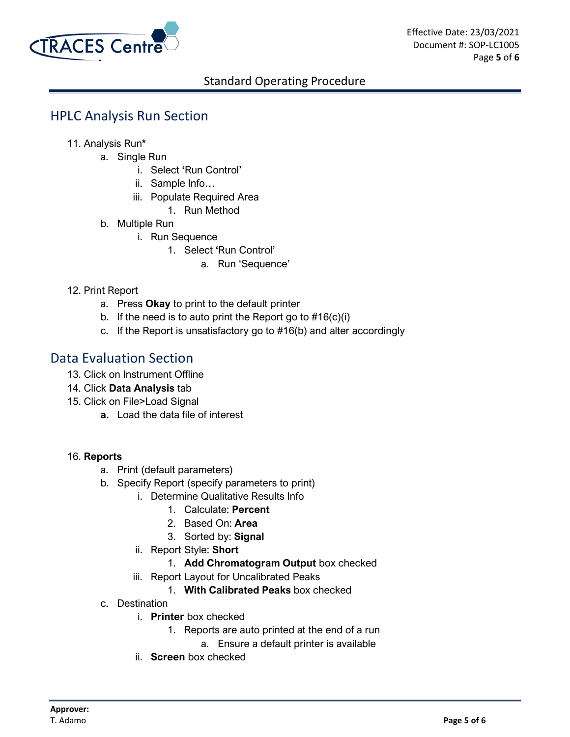

# HPLC Analysis Run Section

- 11. Analysis Run**\*** 
	- a. Single Run
		- i. Select **'**Run Control'
		- ii. Sample Info…
		- iii. Populate Required Area
			- 1. Run Method
	- b. Multiple Run
		- i. Run Sequence
			- 1. Select **'**Run Control'
				- a. Run 'Sequence'

#### 12. Print Report

- a. Press **Okay** to print to the default printer
- b. If the need is to auto print the Report go to  $#16(c)(i)$
- c. If the Report is unsatisfactory go to #16(b) and alter accordingly

### Data Evaluation Section

- 13. Click on Instrument Offline
- 14. Click **Data Analysis** tab
- 15. Click on File>Load Signal
	- **a.** Load the data file of interest

#### 16. **Reports**

- a. Print (default parameters)
- b. Specify Report (specify parameters to print)
	- i. Determine Qualitative Results Info
		- 1. Calculate: **Percent**
		- 2. Based On: **Area**
		- 3. Sorted by: **Signal**
	- ii. Report Style: **Short**
		- 1. **Add Chromatogram Output** box checked
	- iii. Report Layout for Uncalibrated Peaks
		- 1. **With Calibrated Peaks** box checked
- c. Destination
	- i. **Printer** box checked
		- 1. Reports are auto printed at the end of a run
			- a. Ensure a default printer is available
	- ii. **Screen** box checked